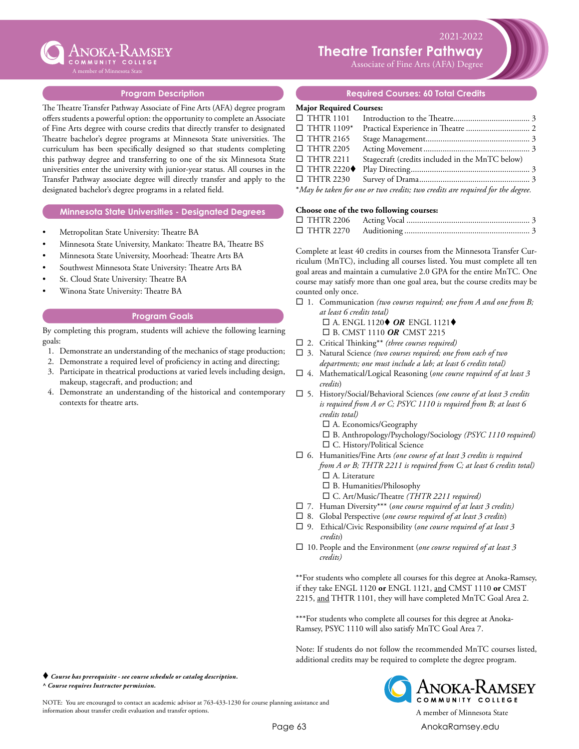

 $2021-2022$ **Theatre Transfer Pathway** 

 $\sum_{k=1}^{n}$ Associate of Fine Arts (AFA) Degree

## **Program Description**

The Theatre Transfer Pathway Associate of Fine Arts (AFA) degree program offers students a powerful option: the opportunity to complete an Associate of Fine Arts degree with course credits that directly transfer to designated Theatre bachelor's degree programs at Minnesota State universities. The curriculum has been specifically designed so that students completing this pathway degree and transferring to one of the six Minnesota State universities enter the university with junior-year status. All courses in the Transfer Pathway associate degree will directly transfer and apply to the designated bachelor's degree programs in a related field.

#### **Minnesota State Universities - Designated Degrees**

- Metropolitan State University: Theatre BA
- Minnesota State University, Mankato: Theatre BA, Theatre BS
- Minnesota State University, Moorhead: Theatre Arts BA
- Southwest Minnesota State University: Theatre Arts BA
- St. Cloud State University: Theatre BA
- Winona State University: Theatre BA

#### **Program Goals**

By completing this program, students will achieve the following learning goals:

- 1. Demonstrate an understanding of the mechanics of stage production;
- 2. Demonstrate a required level of proficiency in acting and directing;
- 3. Participate in theatrical productions at varied levels including design, makeup, stagecraft, and production; and
- 4. Demonstrate an understanding of the historical and contemporary contexts for theatre arts.

 *Course has prerequisite - see course schedule or catalog description. ^ Course requires Instructor permission.*

NOTE: You are encouraged to contact an academic advisor at 763-433-1230 for course planning assistance and information about transfer credit evaluation and transfer options. A member of Minnesota State

#### **Required Courses: 60 Total Credits**

## **Major Required Courses:**

| $\Box$ THTR 1101                 |                                                                                |  |
|----------------------------------|--------------------------------------------------------------------------------|--|
| $\Box$ THTR 1109*                |                                                                                |  |
| $\Box$ THTR 2165                 |                                                                                |  |
| $\Box$ THTR 2205                 |                                                                                |  |
| $\Box$ THTR 2211                 | Stagecraft (credits included in the MnTC below)                                |  |
| $\Box$ THTR 2220 $\blacklozenge$ |                                                                                |  |
| $\Box$ THTR 2230                 |                                                                                |  |
|                                  | *May be taken for one or two credits; two credits are required for the degree. |  |

#### **Choose one of the two following courses:**

Complete at least 40 credits in courses from the Minnesota Transfer Curriculum (MnTC), including all courses listed. You must complete all ten goal areas and maintain a cumulative 2.0 GPA for the entire MnTC. One course may satisfy more than one goal area, but the course credits may be counted only once.

- □ 1. Communication *(two courses required; one from A and one from B*; *at least 6 credits total)*
	- $\square$  A. ENGL 1120 $\blacklozenge$  *OR* ENGL 1121 $\blacklozenge$
	- □ B. CMST 1110 OR CMST 2215
- ¨ 2. Critical Thinking\*\* *(three courses required)*
- □ 3. Natural Science (two courses required; one from each of two *departments; one must include a lab; at least 6 credits total)*
- ¨ 4. Mathematical/Logical Reasoning (*one course required of at least 3 credits*)
- ¨ 5. History/Social/Behavioral Sciences *(one course of at least 3 credits is required from A or C; PSYC 1110 is required from B; at least 6 credits total)*
	- $\square$  A. Economics/Geography
	- ¨ B. Anthropology/Psychology/Sociology *(PSYC 1110 required)* □ C. History/Political Science
- □ 6. Humanities/Fine Arts *(one course of at least 3 credits is required from A or B; THTR 2211 is required from C; at least 6 credits total)*  $\square$  A. Literature
	- $\square$  B. Humanities/Philosophy
	- ¨ C. Art/Music/Theatre *(THTR 2211 required)*
- ¨ 7. Human Diversity\*\*\* (*one course required of at least 3 credits)*
- ¨ 8. Global Perspective (*one course required of at least 3 credits*)
- □ 9. Ethical/Civic Responsibility (one course required of at least 3 *credits*)
- □ 10. People and the Environment (*one course required of at least 3 credits)*

\*\*For students who complete all courses for this degree at Anoka-Ramsey, if they take ENGL 1120 **or** ENGL 1121, and CMST 1110 **or** CMST 2215, and THTR 1101, they will have completed MnTC Goal Area 2.

\*\*\*For students who complete all courses for this degree at Anoka-Ramsey, PSYC 1110 will also satisfy MnTC Goal Area 7.

Note: If students do not follow the recommended MnTC courses listed, additional credits may be required to complete the degree program.



Page 63 [AnokaRamsey.e](http://www.anokaramsey.edu/)du